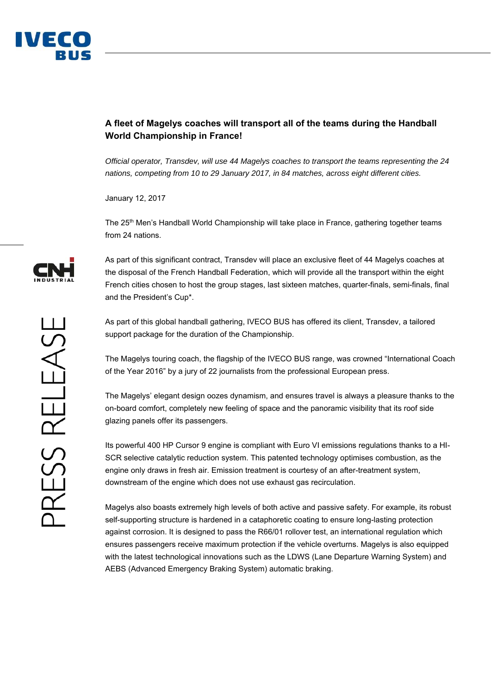

## **A fleet of Magelys coaches will transport all of the teams during the Handball World Championship in France!**

*Official operator, Transdev, will use 44 Magelys coaches to transport the teams representing the 24 nations, competing from 10 to 29 January 2017, in 84 matches, across eight different cities.* 

January 12, 2017

The 25<sup>th</sup> Men's Handball World Championship will take place in France, gathering together teams from 24 nations.

As part of this significant contract, Transdev will place an exclusive fleet of 44 Magelys coaches at the disposal of the French Handball Federation, which will provide all the transport within the eight French cities chosen to host the group stages, last sixteen matches, quarter-finals, semi-finals, final and the President's Cup\*.

As part of this global handball gathering, IVECO BUS has offered its client, Transdev, a tailored support package for the duration of the Championship.

The Magelys touring coach, the flagship of the IVECO BUS range, was crowned "International Coach of the Year 2016" by a jury of 22 journalists from the professional European press.

The Magelys' elegant design oozes dynamism, and ensures travel is always a pleasure thanks to the on-board comfort, completely new feeling of space and the panoramic visibility that its roof side glazing panels offer its passengers.

Its powerful 400 HP Cursor 9 engine is compliant with Euro VI emissions regulations thanks to a HI-SCR selective catalytic reduction system. This patented technology optimises combustion, as the engine only draws in fresh air. Emission treatment is courtesy of an after-treatment system, downstream of the engine which does not use exhaust gas recirculation.

Magelys also boasts extremely high levels of both active and passive safety. For example, its robust self-supporting structure is hardened in a cataphoretic coating to ensure long-lasting protection against corrosion. It is designed to pass the R66/01 rollover test, an international regulation which ensures passengers receive maximum protection if the vehicle overturns. Magelys is also equipped with the latest technological innovations such as the LDWS (Lane Departure Warning System) and AEBS (Advanced Emergency Braking System) automatic braking.

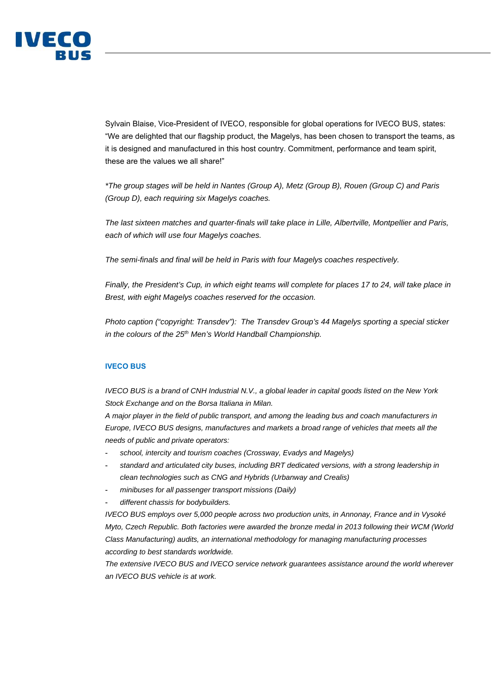

Sylvain Blaise, Vice-President of IVECO, responsible for global operations for IVECO BUS, states: "We are delighted that our flagship product, the Magelys, has been chosen to transport the teams, as it is designed and manufactured in this host country. Commitment, performance and team spirit, these are the values we all share!"

*\*The group stages will be held in Nantes (Group A), Metz (Group B), Rouen (Group C) and Paris (Group D), each requiring six Magelys coaches.* 

*The last sixteen matches and quarter-finals will take place in Lille, Albertville, Montpellier and Paris, each of which will use four Magelys coaches.* 

*The semi-finals and final will be held in Paris with four Magelys coaches respectively.* 

*Finally, the President's Cup, in which eight teams will complete for places 17 to 24, will take place in Brest, with eight Magelys coaches reserved for the occasion.* 

*Photo caption ("copyright: Transdev"): The Transdev Group's 44 Magelys sporting a special sticker in the colours of the 25<sup>th</sup> Men's World Handball Championship.* 

## **IVECO BUS**

*IVECO BUS is a brand of CNH Industrial N.V., a global leader in capital goods listed on the New York Stock Exchange and on the Borsa Italiana in Milan.* 

*A major player in the field of public transport, and among the leading bus and coach manufacturers in Europe, IVECO BUS designs, manufactures and markets a broad range of vehicles that meets all the needs of public and private operators:* 

- *school, intercity and tourism coaches (Crossway, Evadys and Magelys)*
- *standard and articulated city buses, including BRT dedicated versions, with a strong leadership in clean technologies such as CNG and Hybrids (Urbanway and Crealis)*
- *minibuses for all passenger transport missions (Daily)*
- *different chassis for bodybuilders.*

*IVECO BUS employs over 5,000 people across two production units, in Annonay, France and in Vysoké Myto, Czech Republic. Both factories were awarded the bronze medal in 2013 following their WCM (World Class Manufacturing) audits, an international methodology for managing manufacturing processes according to best standards worldwide.* 

*The extensive IVECO BUS and IVECO service network guarantees assistance around the world wherever an IVECO BUS vehicle is at work.*